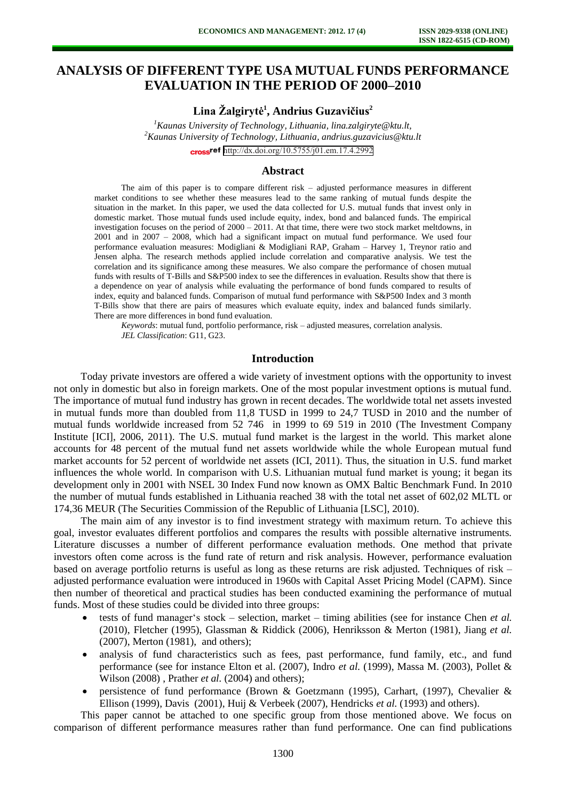# **ANALYSIS OF DIFFERENT TYPE USA MUTUAL FUNDS PERFORMANCE EVALUATION IN THE PERIOD OF 2000–2010**

**Lina Žalgirytė<sup>1</sup> , Andrius Guzavičius<sup>2</sup>**

*<sup>1</sup>Kaunas University of Technology, Lithuania, lina.zalgiryte@ktu.lt, <sup>2</sup>Kaunas University of Technology, Lithuania, andrius.guzavicius@ktu.lt*  cross<sup>ref</sup> <http://dx.doi.org/10.5755/j01.em.17.4.2992>

#### **Abstract**

The aim of this paper is to compare different risk – adjusted performance measures in different market conditions to see whether these measures lead to the same ranking of mutual funds despite the situation in the market. In this paper, we used the data collected for U.S. mutual funds that invest only in domestic market. Those mutual funds used include equity, index, bond and balanced funds. The empirical investigation focuses on the period of 2000 – 2011. At that time, there were two stock market meltdowns, in 2001 and in 2007 – 2008, which had a significant impact on mutual fund performance. We used four performance evaluation measures: Modigliani & Modigliani RAP, Graham – Harvey 1, Treynor ratio and Jensen alpha. The research methods applied include correlation and comparative analysis. We test the correlation and its significance among these measures. We also compare the performance of chosen mutual funds with results of T-Bills and S&P500 index to see the differences in evaluation. Results show that there is a dependence on year of analysis while evaluating the performance of bond funds compared to results of index, equity and balanced funds. Comparison of mutual fund performance with S&P500 Index and 3 month T-Bills show that there are pairs of measures which evaluate equity, index and balanced funds similarly. There are more differences in bond fund evaluation.

*Keywords*: mutual fund, portfolio performance, risk – adjusted measures, correlation analysis. *JEL Classification*: G11, G23.

#### **Introduction**

Today private investors are offered a wide variety of investment options with the opportunity to invest not only in domestic but also in foreign markets. One of the most popular investment options is mutual fund. The importance of mutual fund industry has grown in recent decades. The worldwide total net assets invested in mutual funds more than doubled from 11,8 TUSD in 1999 to 24,7 TUSD in 2010 and the number of mutual funds worldwide increased from 52 746 in 1999 to 69 519 in 2010 (The Investment Company Institute [ICI], 2006, 2011). The U.S. mutual fund market is the largest in the world. This market alone accounts for 48 percent of the mutual fund net assets worldwide while the whole European mutual fund market accounts for 52 percent of worldwide net assets (ICI, 2011). Thus, the situation in U.S. fund market influences the whole world. In comparison with U.S. Lithuanian mutual fund market is young; it began its development only in 2001 with NSEL 30 Index Fund now known as OMX Baltic Benchmark Fund. In 2010 the number of mutual funds established in Lithuania reached 38 with the total net asset of 602,02 MLTL or 174,36 MEUR (The Securities Commission of the Republic of Lithuania [LSC], 2010).

The main aim of any investor is to find investment strategy with maximum return. To achieve this goal, investor evaluates different portfolios and compares the results with possible alternative instruments. Literature discusses a number of different performance evaluation methods. One method that private investors often come across is the fund rate of return and risk analysis. However, performance evaluation based on average portfolio returns is useful as long as these returns are risk adjusted. Techniques of risk – adjusted performance evaluation were introduced in 1960s with Capital Asset Pricing Model (CAPM). Since then number of theoretical and practical studies has been conducted examining the performance of mutual funds. Most of these studies could be divided into three groups:

- tests of fund manager's stock selection, market timing abilities (see for instance Chen *et al.* (2010), Fletcher (1995), Glassman & Riddick (2006), Henriksson & Merton (1981), Jiang *et al.* (2007), Merton (1981), and others);
- analysis of fund characteristics such as fees, past performance, fund family, etc., and fund performance (see for instance Elton et al. (2007), Indro *et al.* (1999), Massa M. (2003), Pollet & Wilson (2008) , Prather *et al.* (2004) and others);
- persistence of fund performance (Brown & Goetzmann (1995), Carhart, (1997), Chevalier & Ellison (1999), Davis (2001), Huij & Verbeek (2007), Hendricks *et al.* (1993) and others).

This paper cannot be attached to one specific group from those mentioned above. We focus on comparison of different performance measures rather than fund performance. One can find publications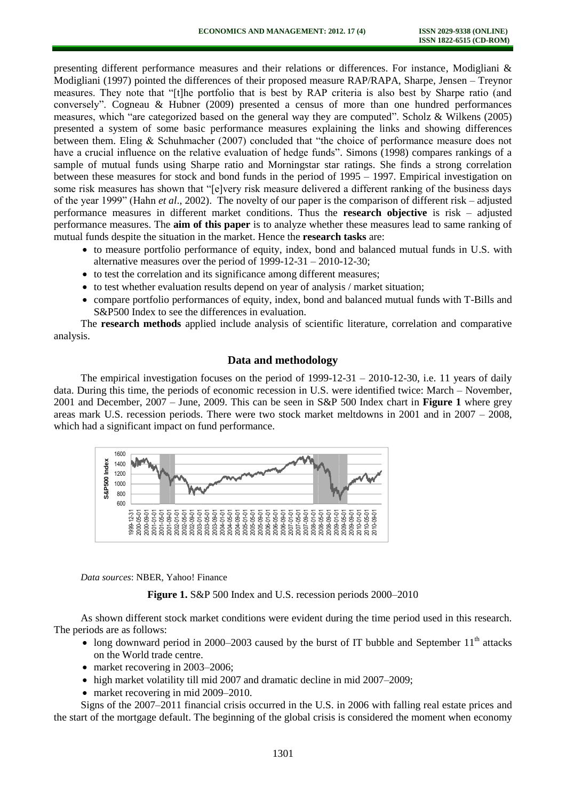presenting different performance measures and their relations or differences. For instance, Modigliani & Modigliani (1997) pointed the differences of their proposed measure RAP/RAPA, Sharpe, Jensen – Treynor measures. They note that "[t]he portfolio that is best by RAP criteria is also best by Sharpe ratio (and conversely". Cogneau & Hubner (2009) presented a census of more than one hundred performances measures, which "are categorized based on the general way they are computed". Scholz & Wilkens (2005) presented a system of some basic performance measures explaining the links and showing differences between them. Eling & Schuhmacher (2007) concluded that "the choice of performance measure does not have a crucial influence on the relative evaluation of hedge funds". Simons (1998) compares rankings of a sample of mutual funds using Sharpe ratio and Morningstar star ratings. She finds a strong correlation between these measures for stock and bond funds in the period of 1995 – 1997. Empirical investigation on some risk measures has shown that "[e]very risk measure delivered a different ranking of the business days of the year 1999" (Hahn *et al*., 2002). The novelty of our paper is the comparison of different risk – adjusted performance measures in different market conditions. Thus the **research objective** is risk – adjusted performance measures. The **aim of this paper** is to analyze whether these measures lead to same ranking of mutual funds despite the situation in the market. Hence the **research tasks** are:

- to measure portfolio performance of equity, index, bond and balanced mutual funds in U.S. with alternative measures over the period of 1999-12-31 – 2010-12-30;
- to test the correlation and its significance among different measures;
- to test whether evaluation results depend on year of analysis / market situation;
- compare portfolio performances of equity, index, bond and balanced mutual funds with T-Bills and S&P500 Index to see the differences in evaluation.

The **research methods** applied include analysis of scientific literature, correlation and comparative analysis.

## **Data and methodology**

The empirical investigation focuses on the period of  $1999-12-31 - 2010-12-30$ , i.e. 11 years of daily data. During this time, the periods of economic recession in U.S. were identified twice: March – November, 2001 and December, 2007 – June, 2009. This can be seen in S&P 500 Index chart in **Figure 1** where grey areas mark U.S. recession periods. There were two stock market meltdowns in 2001 and in 2007 – 2008, which had a significant impact on fund performance.



*Data sources*: NBER, Yahoo! Finance

**Figure 1.** S&P 500 Index and U.S. recession periods 2000–2010

As shown different stock market conditions were evident during the time period used in this research. The periods are as follows:

- long downward period in 2000–2003 caused by the burst of IT bubble and September  $11<sup>th</sup>$  attacks on the World trade centre.
- market recovering in 2003–2006;
- high market volatility till mid 2007 and dramatic decline in mid 2007–2009;
- market recovering in mid 2009–2010.

Signs of the 2007–2011 financial crisis occurred in the U.S. in 2006 with falling real estate prices and the start of the mortgage default. The beginning of the global crisis is considered the moment when economy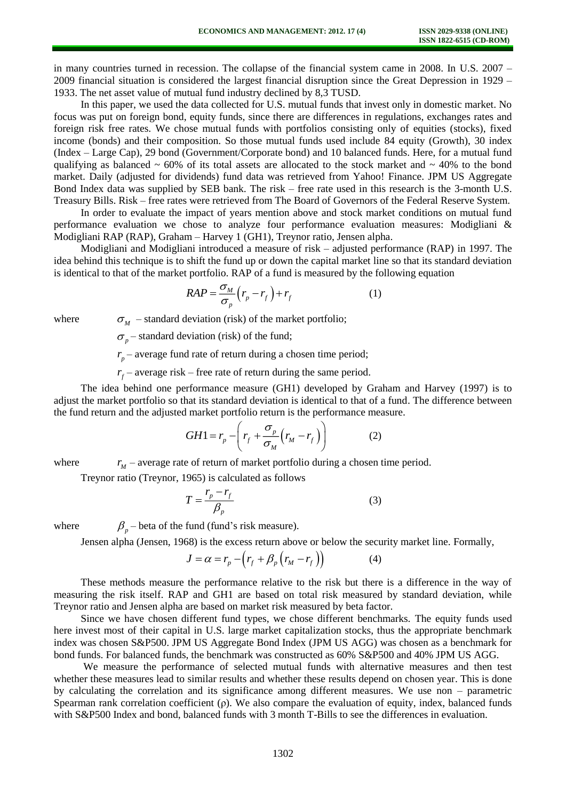in many countries turned in recession. The collapse of the financial system came in 2008. In U.S. 2007 – 2009 financial situation is considered the largest financial disruption since the Great Depression in 1929 – 1933. The net asset value of mutual fund industry declined by 8,3 TUSD.

In this paper, we used the data collected for U.S. mutual funds that invest only in domestic market. No focus was put on foreign bond, equity funds, since there are differences in regulations, exchanges rates and foreign risk free rates. We chose mutual funds with portfolios consisting only of equities (stocks), fixed income (bonds) and their composition. So those mutual funds used include 84 equity (Growth), 30 index (Index – Large Cap), 29 bond (Government/Corporate bond) and 10 balanced funds. Here, for a mutual fund qualifying as balanced  $\sim 60\%$  of its total assets are allocated to the stock market and  $\sim 40\%$  to the bond market. Daily (adjusted for dividends) fund data was retrieved from Yahoo! Finance. JPM US Aggregate Bond Index data was supplied by SEB bank. The risk – free rate used in this research is the 3-month U.S. Treasury Bills. Risk – free rates were retrieved from The Board of Governors of the Federal Reserve System.

In order to evaluate the impact of years mention above and stock market conditions on mutual fund performance evaluation we chose to analyze four performance evaluation measures: Modigliani & Modigliani RAP (RAP), Graham – Harvey 1 (GH1), Treynor ratio, Jensen alpha.

Modigliani and Modigliani introduced a measure of risk – adjusted performance (RAP) in 1997. The idea behind this technique is to shift the fund up or down the capital market line so that its standard deviation is identical to that of the market portfolio. RAP of a fund is measured by the following equation

$$
RAP = \frac{\sigma_M}{\sigma_p} \left( r_p - r_f \right) + r_f \tag{1}
$$

where

 $\sigma_M$  – standard deviation (risk) of the market portfolio;

 $\sigma_p$  – standard deviation (risk) of the fund;

*p <sup>r</sup>* – average fund rate of return during a chosen time period;

*f <sup>r</sup>* – average risk – free rate of return during the same period.

The idea behind one performance measure (GH1) developed by Graham and Harvey (1997) is to adjust the market portfolio so that its standard deviation is identical to that of a fund. The difference between the fund return and the adjusted market portfolio return is the performance measure.

$$
GH1 = r_p - \left(r_f + \frac{\sigma_p}{\sigma_M} \left(r_M - r_f\right)\right) \tag{2}
$$

where

*M <sup>r</sup>* – average rate of return of market portfolio during a chosen time period.

Treynor ratio (Treynor, 1965) is calculated as follows

 $\beta_p$  – beta of the fund (fund's risk measure).

$$
T = \frac{r_p - r_f}{\beta_p} \tag{3}
$$

where

Jensen alpha (Jensen, 1968) is the excess return above or below the security market line. Formally,

$$
J = \alpha = r_p - \left(r_f + \beta_p \left(r_M - r_f\right)\right) \tag{4}
$$

These methods measure the performance relative to the risk but there is a difference in the way of measuring the risk itself. RAP and GH1 are based on total risk measured by standard deviation, while Treynor ratio and Jensen alpha are based on market risk measured by beta factor.

Since we have chosen different fund types, we chose different benchmarks. The equity funds used here invest most of their capital in U.S. large market capitalization stocks, thus the appropriate benchmark index was chosen S&P500. JPM US Aggregate Bond Index (JPM US AGG) was chosen as a benchmark for bond funds. For balanced funds, the benchmark was constructed as 60% S&P500 and 40% JPM US AGG.

We measure the performance of selected mutual funds with alternative measures and then test whether these measures lead to similar results and whether these results depend on chosen year. This is done by calculating the correlation and its significance among different measures. We use non – parametric Spearman rank correlation coefficient (ρ). We also compare the evaluation of equity, index, balanced funds with S&P500 Index and bond, balanced funds with 3 month T-Bills to see the differences in evaluation.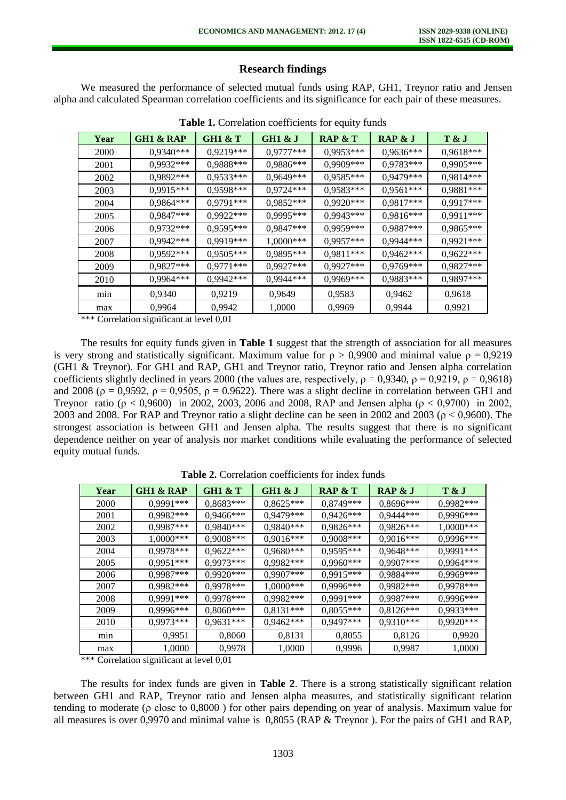## **Research findings**

We measured the performance of selected mutual funds using RAP, GH1, Treynor ratio and Jensen alpha and calculated Spearman correlation coefficients and its significance for each pair of these measures.

| Year | <b>GH1 &amp; RAP</b> | GH1 $\&$ T  | GH1 & J     | RAP $&$ T   | RAP & J     | T & J       |
|------|----------------------|-------------|-------------|-------------|-------------|-------------|
| 2000 | $0,9340***$          | $0,9219***$ | $0,9777***$ | $0,9953***$ | $0.9636***$ | $0.9618***$ |
| 2001 | $0,9932***$          | 0,9888***   | 0,9886***   | $0,9909***$ | $0,9783***$ | $0,9905***$ |
| 2002 | $0,9892***$          | 0,9533***   | 0,9649***   | $0,9585***$ | 0,9479***   | 0,9814***   |
| 2003 | $0,9915***$          | 0,9598***   | $0,9724***$ | $0,9583***$ | $0,9561***$ | 0,9881***   |
| 2004 | $0,9864***$          | $0,9791***$ | $0,9852***$ | $0,9920***$ | 0,9817***   | $0,9917***$ |
| 2005 | $0.9847***$          | $0,9922***$ | $0,9995***$ | $0,9943***$ | 0,9816***   | $0,9911***$ |
| 2006 | $0,9732***$          | $0,9595***$ | $0.9847***$ | 0,9959***   | 0,9887***   | $0,9865***$ |
| 2007 | $0,9942***$          | 0,9919***   | $1,0000***$ | $0,9957***$ | 0,9944***   | $0,9921***$ |
| 2008 | $0.9592***$          | $0,9505***$ | 0,9895***   | $0,9811***$ | $0,9462***$ | $0.9622***$ |
| 2009 | $0,9827***$          | $0,9771***$ | $0,9927***$ | $0,9927***$ | 0,9769***   | 0,9827***   |
| 2010 | $0,9964***$          | 0,9942***   | $0,9944***$ | 0,9969***   | 0,9883***   | 0,9897***   |
| min  | 0,9340               | 0,9219      | 0,9649      | 0,9583      | 0,9462      | 0,9618      |
| max  | 0,9964               | 0,9942      | 1,0000      | 0,9969      | 0,9944      | 0,9921      |

**Table 1.** Correlation coefficients for equity funds

\*\*\* Correlation significant at level 0,01

The results for equity funds given in **Table 1** suggest that the strength of association for all measures is very strong and statistically significant. Maximum value for  $\rho > 0.9900$  and minimal value  $\rho = 0.9219$ (GH1 & Treynor). For GH1 and RAP, GH1 and Treynor ratio, Treynor ratio and Jensen alpha correlation coefficients slightly declined in years 2000 (the values are, respectively,  $\rho = 0.9340$ ,  $\rho = 0.9219$ ,  $\rho = 0.9618$ ) and 2008 ( $\rho = 0.9592$ ,  $\rho = 0.9505$ ,  $\rho = 0.9622$ ). There was a slight decline in correlation between GH1 and Treynor ratio (ρ < 0,9600) in 2002, 2003, 2006 and 2008, RAP and Jensen alpha (ρ < 0,9700) in 2002, 2003 and 2008. For RAP and Treynor ratio a slight decline can be seen in 2002 and 2003 ( $\rho$  < 0,9600). The strongest association is between GH1 and Jensen alpha. The results suggest that there is no significant dependence neither on year of analysis nor market conditions while evaluating the performance of selected equity mutual funds.

| Year | <b>GH1 &amp; RAP</b> | <b>GH1 &amp; T</b> | GH1 & J     | <b>RAP &amp; T</b> | RAP & J     | T & J       |
|------|----------------------|--------------------|-------------|--------------------|-------------|-------------|
| 2000 | $0,9991***$          | $0,8683***$        | $0,8625***$ | $0,8749***$        | $0,8696***$ | 0,9982***   |
| 2001 | $0,9982***$          | $0,9466***$        | $0,9479***$ | $0.9426***$        | $0,9444***$ | 0,9996***   |
| 2002 | $0,9987***$          | $0,9840***$        | $0,9840***$ | $0,9826***$        | 0,9826***   | $1,0000***$ |
| 2003 | $1,0000$ ***         | $0,9008***$        | $0,9016***$ | $0,9008***$        | $0,9016***$ | 0,9996***   |
| 2004 | $0,9978***$          | $0,9622***$        | $0,9680***$ | $0,9595***$        | $0.9648***$ | 0,9991***   |
| 2005 | $0,9951***$          | $0,9973***$        | $0,9982***$ | $0,9960***$        | $0,9907***$ | $0,9964***$ |
| 2006 | $0,9987***$          | $0,9920***$        | $0,9907***$ | $0,9915***$        | $0,9884***$ | 0,9969***   |
| 2007 | $0,9982***$          | $0.9978***$        | $1,0000***$ | $0.9996***$        | $0,9982***$ | 0,9978***   |
| 2008 | $0,9991***$          | $0,9978***$        | $0,9982***$ | $0,9991***$        | $0,9987***$ | 0,9996***   |
| 2009 | $0,9996***$          | $0,8060***$        | $0,8131***$ | $0,8055***$        | $0,8126***$ | $0,9933***$ |
| 2010 | $0,9973***$          | $0,9631***$        | $0,9462***$ | $0,9497***$        | $0,9310***$ | $0,9920***$ |
| min  | 0,9951               | 0,8060             | 0,8131      | 0,8055             | 0,8126      | 0,9920      |
| max  | 1,0000               | 0,9978             | 1,0000      | 0,9996             | 0,9987      | 1,0000      |

**Table 2.** Correlation coefficients for index funds

\*\*\* Correlation significant at level 0,01

The results for index funds are given in **Table 2**. There is a strong statistically significant relation between GH1 and RAP, Treynor ratio and Jensen alpha measures, and statistically significant relation tending to moderate (ρ close to 0,8000 ) for other pairs depending on year of analysis. Maximum value for all measures is over 0,9970 and minimal value is 0,8055 (RAP & Treynor ). For the pairs of GH1 and RAP,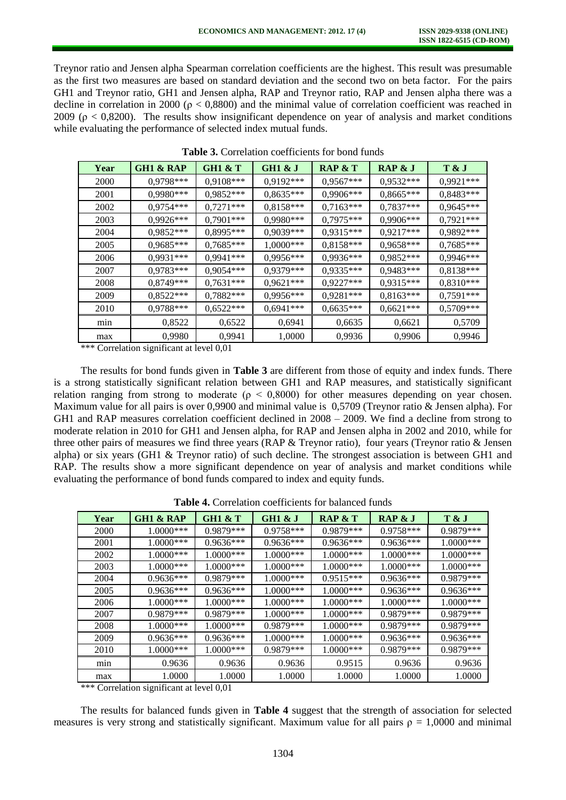Treynor ratio and Jensen alpha Spearman correlation coefficients are the highest. This result was presumable as the first two measures are based on standard deviation and the second two on beta factor. For the pairs GH1 and Treynor ratio, GH1 and Jensen alpha, RAP and Treynor ratio, RAP and Jensen alpha there was a decline in correlation in 2000 ( $\rho < 0.8800$ ) and the minimal value of correlation coefficient was reached in 2009 ( $\rho$  < 0,8200). The results show insignificant dependence on year of analysis and market conditions while evaluating the performance of selected index mutual funds.

| Year | <b>GH1 &amp; RAP</b> | <b>GH1 &amp; T</b> | GH1 & J      | RAP $&$ T   | RAP & J     | T & J       |
|------|----------------------|--------------------|--------------|-------------|-------------|-------------|
| 2000 | 0,9798***            | $0,9108***$        | $0,9192***$  | $0,9567***$ | $0,9532***$ | $0,9921***$ |
| 2001 | $0,9980***$          | $0,9852***$        | $0,8635***$  | $0,9906***$ | $0,8665***$ | $0,8483***$ |
| 2002 | $0,9754***$          | $0,7271***$        | $0,8158***$  | $0,7163***$ | $0,7837***$ | $0,9645***$ |
| 2003 | $0,9926***$          | $0,7901***$        | $0,9980***$  | $0,7975***$ | 0,9906***   | $0,7921***$ |
| 2004 | $0,9852***$          | $0,8995***$        | $0,9039***$  | $0,9315***$ | $0,9217***$ | 0,9892***   |
| 2005 | $0,9685***$          | $0,7685***$        | $1,0000$ *** | $0,8158***$ | $0,9658***$ | $0,7685***$ |
| 2006 | $0,9931***$          | $0,9941***$        | $0,9956***$  | $0,9936***$ | $0,9852***$ | 0,9946***   |
| 2007 | $0,9783***$          | $0,9054***$        | $0,9379***$  | $0,9335***$ | $0,9483***$ | $0,8138***$ |
| 2008 | $0,8749***$          | $0.7631***$        | $0,9621***$  | $0,9227***$ | $0.9315***$ | $0.8310***$ |
| 2009 | $0,8522***$          | $0,7882***$        | $0,9956***$  | $0,9281***$ | $0,8163***$ | $0,7591***$ |
| 2010 | $0,9788***$          | $0,6522***$        | $0,6941***$  | $0,6635***$ | $0,6621***$ | $0,5709***$ |
| min  | 0,8522               | 0,6522             | 0,6941       | 0,6635      | 0,6621      | 0,5709      |
| max  | 0,9980               | 0,9941             | 1,0000       | 0,9936      | 0,9906      | 0,9946      |

**Table 3.** Correlation coefficients for bond funds

\*\*\* Correlation significant at level 0,01

The results for bond funds given in **Table 3** are different from those of equity and index funds. There is a strong statistically significant relation between GH1 and RAP measures, and statistically significant relation ranging from strong to moderate ( $\rho < 0.8000$ ) for other measures depending on year chosen. Maximum value for all pairs is over 0,9900 and minimal value is 0,5709 (Treynor ratio & Jensen alpha). For GH1 and RAP measures correlation coefficient declined in 2008 – 2009. We find a decline from strong to moderate relation in 2010 for GH1 and Jensen alpha, for RAP and Jensen alpha in 2002 and 2010, while for three other pairs of measures we find three years (RAP & Treynor ratio), four years (Treynor ratio & Jensen alpha) or six years (GH1 & Treynor ratio) of such decline. The strongest association is between GH1 and RAP. The results show a more significant dependence on year of analysis and market conditions while evaluating the performance of bond funds compared to index and equity funds.

| Table 4. Correlation coefficients for balanced funds |
|------------------------------------------------------|
|------------------------------------------------------|

| Year | <b>GH1 &amp; RAP</b> | <b>GH1 &amp; T</b> | GH1 & J      | RAP $&$ T    | RAP & J      | T & J        |
|------|----------------------|--------------------|--------------|--------------|--------------|--------------|
| 2000 | $1.0000***$          | 0.9879***          | $0.9758***$  | 0.9879***    | $0.9758***$  | 0.9879***    |
| 2001 | $1.0000***$          | $0.9636***$        | $0.9636***$  | $0.9636***$  | $0.9636***$  | $1.0000$ *** |
| 2002 | $1.0000***$          | $1.0000$ ***       | $1.0000***$  | $1.0000$ *** | $1.0000$ *** | $1.0000$ *** |
| 2003 | $1.0000***$          | $1.0000$ ***       | $1.0000$ *** | $1.0000***$  | $1.0000***$  | $1.0000$ *** |
| 2004 | $0.9636***$          | $0.9879***$        | $1.0000$ *** | $0.9515***$  | $0.9636***$  | $0.9879***$  |
| 2005 | $0.9636***$          | $0.9636***$        | $1.0000$ *** | $1.0000$ *** | $0.9636***$  | $0.9636***$  |
| 2006 | $1.0000***$          | $1.0000$ ***       | $1.0000$ *** | $1.0000***$  | $1.0000$ *** | $1.0000***$  |
| 2007 | $0.9879***$          | $0.9879***$        | $1.0000$ *** | $1.0000***$  | 0.9879***    | 0.9879***    |
| 2008 | $1.0000***$          | $1.0000***$        | $0.9879***$  | $1.0000$ *** | 0.9879***    | 0.9879***    |
| 2009 | $0.9636***$          | $0.9636***$        | $1.0000$ *** | $1.0000***$  | $0.9636***$  | $0.9636***$  |
| 2010 | $1.0000***$          | $1.0000$ ***       | 0.9879***    | $1.0000$ *** | 0.9879***    | $0.9879***$  |
| mın  | 0.9636               | 0.9636             | 0.9636       | 0.9515       | 0.9636       | 0.9636       |
| max  | 1.0000               | 1.0000             | 1.0000       | 1.0000       | 1.0000       | 1.0000       |

\*\*\* Correlation significant at level 0,01

The results for balanced funds given in **Table 4** suggest that the strength of association for selected measures is very strong and statistically significant. Maximum value for all pairs  $\rho = 1,0000$  and minimal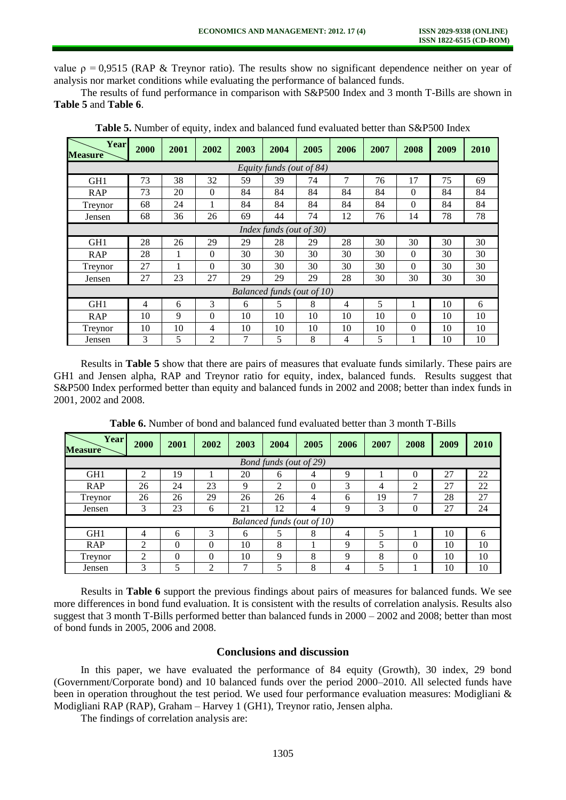value  $\rho = 0.9515$  (RAP & Treynor ratio). The results show no significant dependence neither on year of analysis nor market conditions while evaluating the performance of balanced funds.

The results of fund performance in comparison with S&P500 Index and 3 month T-Bills are shown in **Table 5** and **Table 6**.

| Year<br><b>Measure</b>   | 2000                    | 2001 | 2002     | 2003 | 2004 | 2005                       | 2006 | 2007 | 2008     | 2009 | 2010 |
|--------------------------|-------------------------|------|----------|------|------|----------------------------|------|------|----------|------|------|
| Equity funds (out of 84) |                         |      |          |      |      |                            |      |      |          |      |      |
| GH <sub>1</sub>          | 73                      | 38   | 32       | 59   | 39   | 74                         | 7    | 76   | 17       | 75   | 69   |
| <b>RAP</b>               | 73                      | 20   | $\Omega$ | 84   | 84   | 84                         | 84   | 84   | $\Omega$ | 84   | 84   |
| Treynor                  | 68                      | 24   |          | 84   | 84   | 84                         | 84   | 84   | $\theta$ | 84   | 84   |
| Jensen                   | 68                      | 36   | 26       | 69   | 44   | 74                         | 12   | 76   | 14       | 78   | 78   |
|                          | Index funds (out of 30) |      |          |      |      |                            |      |      |          |      |      |
| GH <sub>1</sub>          | 28                      | 26   | 29       | 29   | 28   | 29                         | 28   | 30   | 30       | 30   | 30   |
| <b>RAP</b>               | 28                      | 1    | $\Omega$ | 30   | 30   | 30                         | 30   | 30   | $\Omega$ | 30   | 30   |
| Treynor                  | 27                      | 1    | $\theta$ | 30   | 30   | 30                         | 30   | 30   | $\theta$ | 30   | 30   |
| Jensen                   | 27                      | 23   | 27       | 29   | 29   | 29                         | 28   | 30   | 30       | 30   | 30   |
|                          |                         |      |          |      |      | Balanced funds (out of 10) |      |      |          |      |      |
| GH <sub>1</sub>          | 4                       | 6    | 3        | 6    | 5    | 8                          | 4    | 5    | 1        | 10   | 6    |
| <b>RAP</b>               | 10                      | 9    | $\theta$ | 10   | 10   | 10                         | 10   | 10   | $\theta$ | 10   | 10   |
| Treynor                  | 10                      | 10   | 4        | 10   | 10   | 10                         | 10   | 10   | $\theta$ | 10   | 10   |
| Jensen                   | 3                       | 5    | 2        | 7    | 5    | 8                          | 4    | 5    | 1        | 10   | 10   |

**Table 5.** Number of equity, index and balanced fund evaluated better than S&P500 Index

Results in **Table 5** show that there are pairs of measures that evaluate funds similarly. These pairs are GH1 and Jensen alpha, RAP and Treynor ratio for equity, index, balanced funds. Results suggest that S&P500 Index performed better than equity and balanced funds in 2002 and 2008; better than index funds in 2001, 2002 and 2008.

| Year<br><b>Measure</b> | 2000                       | 2001     | 2002     | 2003        | 2004           | 2005     | 2006        | 2007 | 2008           | 2009 | 2010 |
|------------------------|----------------------------|----------|----------|-------------|----------------|----------|-------------|------|----------------|------|------|
| Bond funds (out of 29) |                            |          |          |             |                |          |             |      |                |      |      |
| GH <sub>1</sub>        | 2                          | 19       |          | 20          | 6              | 4        | $\mathbf Q$ |      | $\theta$       | 27   | 22   |
| <b>RAP</b>             | 26                         | 24       | 23       | $\mathbf Q$ | $\overline{2}$ | $\Omega$ | 3           | 4    | $\overline{2}$ | 27   | 22   |
| Treynor                | 26                         | 26       | 29       | 26          | 26             | 4        | 6           | 19   | 7              | 28   | 27   |
| Jensen                 | 3                          | 23       | 6        | 21          | 12             | 4        | $\mathbf Q$ | 3    | 0              | 27   | 24   |
|                        | Balanced funds (out of 10) |          |          |             |                |          |             |      |                |      |      |
| GH <sub>1</sub>        | 4                          | 6        | 3        | 6           | 5              | 8        | 4           | 5    |                | 10   | 6    |
| <b>RAP</b>             | $\mathcal{D}$              | $\Omega$ | $\Omega$ | 10          | 8              |          | 9           | 5    | $\theta$       | 10   | 10   |
| Treynor                | ↑                          | $\Omega$ | $\Omega$ | 10          | 9              | 8        | 9           | 8    | $\theta$       | 10   | 10   |
| Jensen                 | 3                          | 5        | ↑        | 7           | 5              | 8        | 4           | 5    |                | 10   | 10   |

**Table 6.** Number of bond and balanced fund evaluated better than 3 month T-Bills

Results in **Table 6** support the previous findings about pairs of measures for balanced funds. We see more differences in bond fund evaluation. It is consistent with the results of correlation analysis. Results also suggest that 3 month T-Bills performed better than balanced funds in 2000 – 2002 and 2008; better than most of bond funds in 2005, 2006 and 2008.

## **Conclusions and discussion**

In this paper, we have evaluated the performance of 84 equity (Growth), 30 index, 29 bond (Government/Corporate bond) and 10 balanced funds over the period 2000–2010. All selected funds have been in operation throughout the test period. We used four performance evaluation measures: Modigliani & Modigliani RAP (RAP), Graham – Harvey 1 (GH1), Treynor ratio, Jensen alpha.

The findings of correlation analysis are: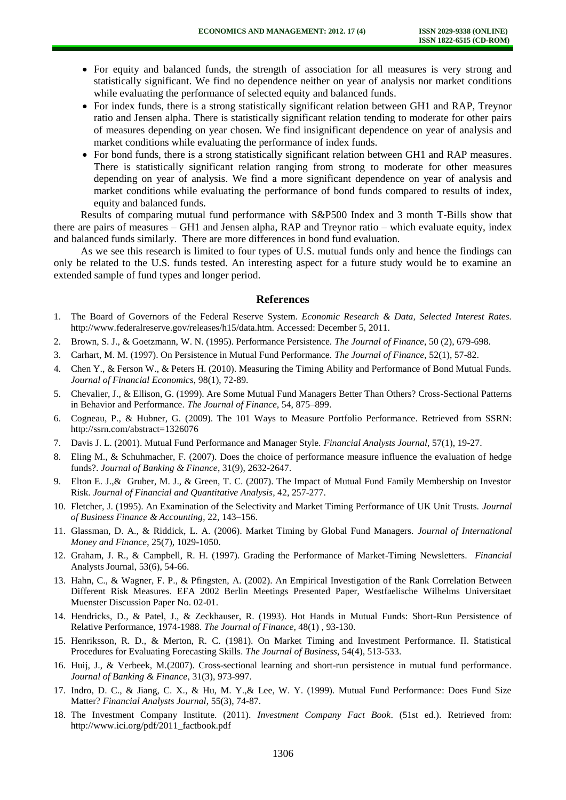- For equity and balanced funds, the strength of association for all measures is very strong and statistically significant. We find no dependence neither on year of analysis nor market conditions while evaluating the performance of selected equity and balanced funds.
- For index funds, there is a strong statistically significant relation between GH1 and RAP, Treynor ratio and Jensen alpha. There is statistically significant relation tending to moderate for other pairs of measures depending on year chosen. We find insignificant dependence on year of analysis and market conditions while evaluating the performance of index funds.
- For bond funds, there is a strong statistically significant relation between GH1 and RAP measures. There is statistically significant relation ranging from strong to moderate for other measures depending on year of analysis. We find a more significant dependence on year of analysis and market conditions while evaluating the performance of bond funds compared to results of index, equity and balanced funds.

Results of comparing mutual fund performance with S&P500 Index and 3 month T-Bills show that there are pairs of measures – GH1 and Jensen alpha, RAP and Treynor ratio – which evaluate equity, index and balanced funds similarly. There are more differences in bond fund evaluation.

As we see this research is limited to four types of U.S. mutual funds only and hence the findings can only be related to the U.S. funds tested. An interesting aspect for a future study would be to examine an extended sample of fund types and longer period.

#### **References**

- 1. The Board of Governors of the Federal Reserve System. *Economic Research & Data, Selected Interest Rates.* http://www.federalreserve.gov/releases/h15/data.htm. Accessed: December 5, 2011.
- 2. Brown, S. J., & Goetzmann, W. N. (1995). Performance Persistence. *The Journal of Finance*, 50 (2), 679-698.
- 3. Carhart, M. M. (1997). On Persistence in Mutual Fund Performance. *The Journal of Finance*, 52(1), 57-82.
- 4. Chen Y., & Ferson W., & Peters H. (2010). Measuring the Timing Ability and Performance of Bond Mutual Funds. *Journal of Financial Economics*, 98(1), 72-89.
- 5. Chevalier, J., & Ellison, G. (1999). Are Some Mutual Fund Managers Better Than Others? Cross-Sectional Patterns in Behavior and Performance. *The Journal of Finance*, 54, 875–899.
- 6. Cogneau, P., & Hubner, G. (2009). The 101 Ways to Measure Portfolio Performance. Retrieved from SSRN: http://ssrn.com/abstract=1326076
- 7. Davis J. L. (2001). Mutual Fund Performance and Manager Style. *Financial Analysts Journal*, 57(1), 19-27.
- 8. Eling M., & Schuhmacher, F. (2007). Does the choice of performance measure influence the evaluation of hedge funds?. *Journal of Banking & Finance*, 31(9), 2632-2647.
- 9. Elton E. J.,& Gruber, M. J., & Green, T. C. (2007). The Impact of Mutual Fund Family Membership on Investor Risk. *Journal of Financial and Quantitative Analysis*, 42, 257-277.
- 10. Fletcher, J. (1995). An Examination of the Selectivity and Market Timing Performance of UK Unit Trusts. *Journal of Business Finance & Accounting*, 22, 143–156.
- 11. Glassman, D. A., & Riddick, L. A. (2006). Market Timing by Global Fund Managers. *Journal of International Money and Finance*, 25(7), 1029-1050.
- 12. Graham, J. R., & Campbell, R. H. (1997). Grading the Performance of Market-Timing Newsletters. *Financial*  Analysts Journal, 53(6), 54-66.
- 13. Hahn, C., & Wagner, F. P., & Pfingsten, A. (2002). An Empirical Investigation of the Rank Correlation Between Different Risk Measures. EFA 2002 Berlin Meetings Presented Paper, Westfaelische Wilhelms Universitaet Muenster Discussion Paper No. 02-01.
- 14. Hendricks, D., & Patel, J., & Zeckhauser, R. (1993). Hot Hands in Mutual Funds: Short-Run Persistence of Relative Performance, 1974-1988. *The Journal of Finance*, 48(1) , 93-130.
- 15. Henriksson, R. D., & Merton, R. C. (1981). On Market Timing and Investment Performance. II. Statistical Procedures for Evaluating Forecasting Skills. *The Journal of Business*, 54(4), 513-533.
- 16. Huij, J., & Verbeek, M.(2007). Cross-sectional learning and short-run persistence in mutual fund performance. *Journal of Banking & Finance*, 31(3), 973-997.
- 17. Indro, D. C., & Jiang, C. X., & Hu, M. Y.,& Lee, W. Y. (1999). Mutual Fund Performance: Does Fund Size Matter? *Financial Analysts Journal*, 55(3), 74-87.
- 18. The Investment Company Institute. (2011). *Investment Company Fact Book*. (51st ed.). Retrieved from: http://www.ici.org/pdf/2011\_factbook.pdf